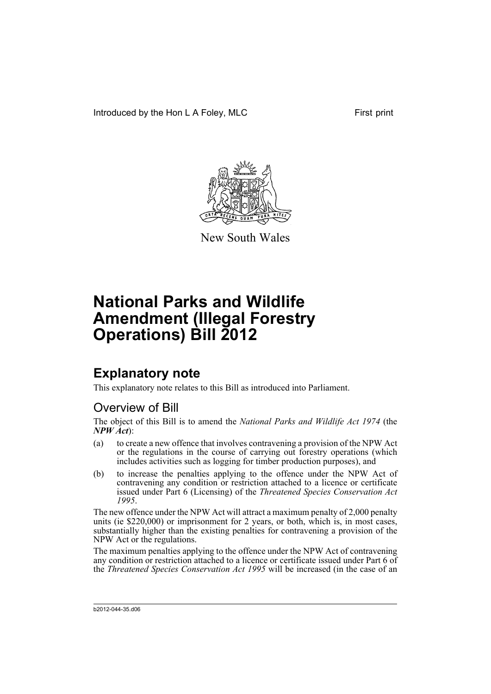

New South Wales

## **Explanatory note**

This explanatory note relates to this Bill as introduced into Parliament.

#### Overview of Bill

The object of this Bill is to amend the *National Parks and Wildlife Act 1974* (the *NPW Act*):

- (a) to create a new offence that involves contravening a provision of the NPW Act or the regulations in the course of carrying out forestry operations (which includes activities such as logging for timber production purposes), and
- (b) to increase the penalties applying to the offence under the NPW Act of contravening any condition or restriction attached to a licence or certificate issued under Part 6 (Licensing) of the *Threatened Species Conservation Act 1995*.

The new offence under the NPW Act will attract a maximum penalty of 2,000 penalty units (ie \$220,000) or imprisonment for 2 years, or both, which is, in most cases, substantially higher than the existing penalties for contravening a provision of the NPW Act or the regulations.

The maximum penalties applying to the offence under the NPW Act of contravening any condition or restriction attached to a licence or certificate issued under Part 6 of the *Threatened Species Conservation Act 1995* will be increased (in the case of an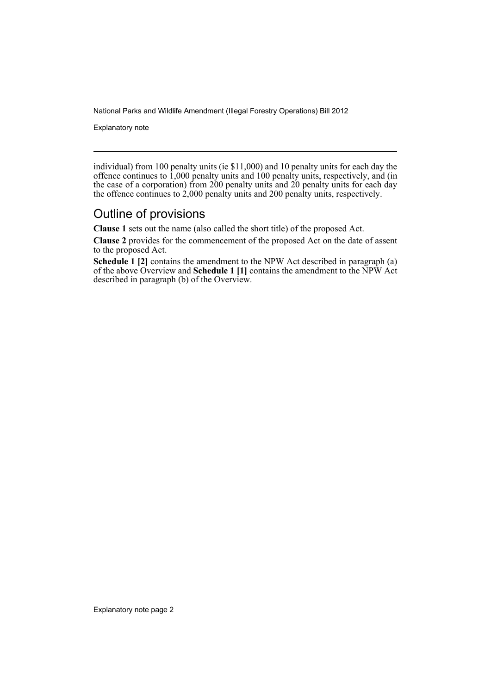Explanatory note

individual) from 100 penalty units (ie \$11,000) and 10 penalty units for each day the offence continues to 1,000 penalty units and 100 penalty units, respectively, and (in the case of a corporation) from 200 penalty units and 20 penalty units for each day the offence continues to 2,000 penalty units and 200 penalty units, respectively.

### Outline of provisions

**Clause 1** sets out the name (also called the short title) of the proposed Act.

**Clause 2** provides for the commencement of the proposed Act on the date of assent to the proposed Act.

**Schedule 1 [2]** contains the amendment to the NPW Act described in paragraph (a) of the above Overview and **Schedule 1 [1]** contains the amendment to the NPW Act described in paragraph (b) of the Overview.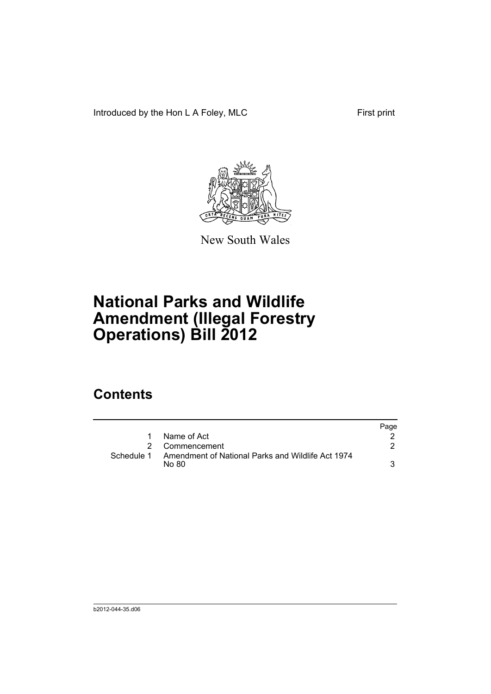Introduced by the Hon L A Foley, MLC First print



New South Wales

## **National Parks and Wildlife Amendment (Illegal Forestry Operations) Bill 2012**

## **Contents**

|            |                                                            | Page |
|------------|------------------------------------------------------------|------|
| 1          | Name of Act                                                |      |
|            | 2 Commencement                                             |      |
| Schedule 1 | Amendment of National Parks and Wildlife Act 1974<br>No 80 |      |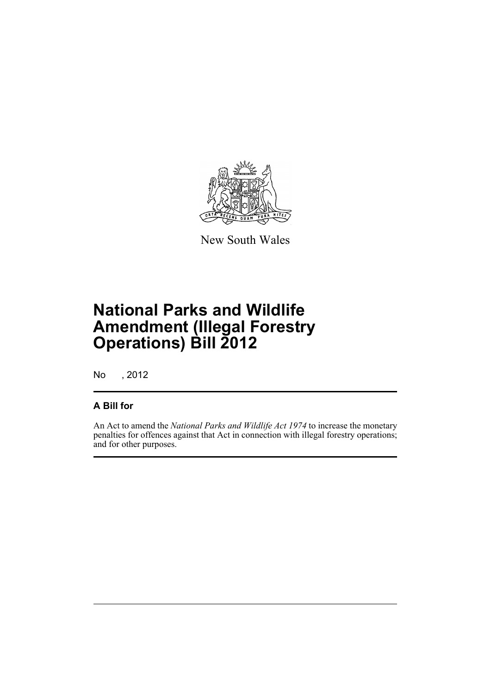

New South Wales

## **National Parks and Wildlife Amendment (Illegal Forestry Operations) Bill 2012**

No , 2012

#### **A Bill for**

An Act to amend the *National Parks and Wildlife Act 1974* to increase the monetary penalties for offences against that Act in connection with illegal forestry operations; and for other purposes.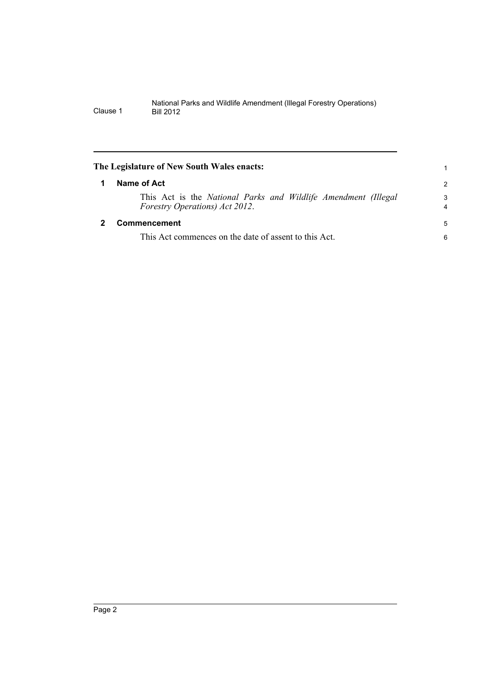<span id="page-5-1"></span><span id="page-5-0"></span>

| The Legislature of New South Wales enacts:                                                       | 1      |
|--------------------------------------------------------------------------------------------------|--------|
| Name of Act                                                                                      | 2      |
| This Act is the National Parks and Wildlife Amendment (Illegal<br>Forestry Operations) Act 2012. | 3<br>4 |
| Commencement                                                                                     | 5      |
| This Act commences on the date of assent to this Act.                                            | 6      |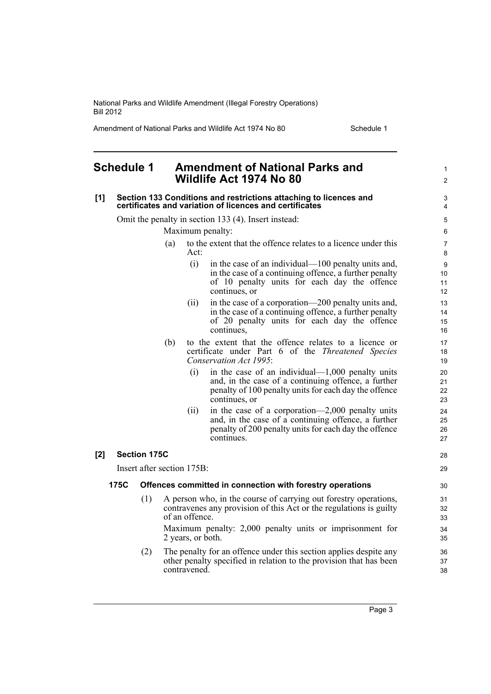Amendment of National Parks and Wildlife Act 1974 No 80 Schedule 1

#### <span id="page-6-0"></span>**Schedule 1 Amendment of National Parks and Wildlife Act 1974 No 80 [1] Section 133 Conditions and restrictions attaching to licences and certificates and variation of licences and certificates** Omit the penalty in section 133 (4). Insert instead: Maximum penalty: (a) to the extent that the offence relates to a licence under this Act: (i) in the case of an individual—100 penalty units and, in the case of a continuing offence, a further penalty of 10 penalty units for each day the offence continues, or (ii) in the case of a corporation—200 penalty units and, in the case of a continuing offence, a further penalty of 20 penalty units for each day the offence continues, (b) to the extent that the offence relates to a licence or certificate under Part 6 of the *Threatened Species Conservation Act 1995*:  $(i)$  in the case of an individual—1,000 penalty units and, in the case of a continuing offence, a further penalty of 100 penalty units for each day the offence continues, or (ii) in the case of a corporation—2,000 penalty units and, in the case of a continuing offence, a further penalty of 200 penalty units for each day the offence continues. **[2] Section 175C** Insert after section 175B: **175C Offences committed in connection with forestry operations** (1) A person who, in the course of carrying out forestry operations, contravenes any provision of this Act or the regulations is guilty of an offence. Maximum penalty: 2,000 penalty units or imprisonment for 2 years, or both. (2) The penalty for an offence under this section applies despite any other penalty specified in relation to the provision that has been contravened. 1  $\mathfrak{p}$  $\overline{a}$ 4 5 6 7 8 9 10 11 12 13 14 15 16 17 18 19 20 21 22 23  $24$ 25 26 27 28 29 30 31 32 33 34 35 36 37 38